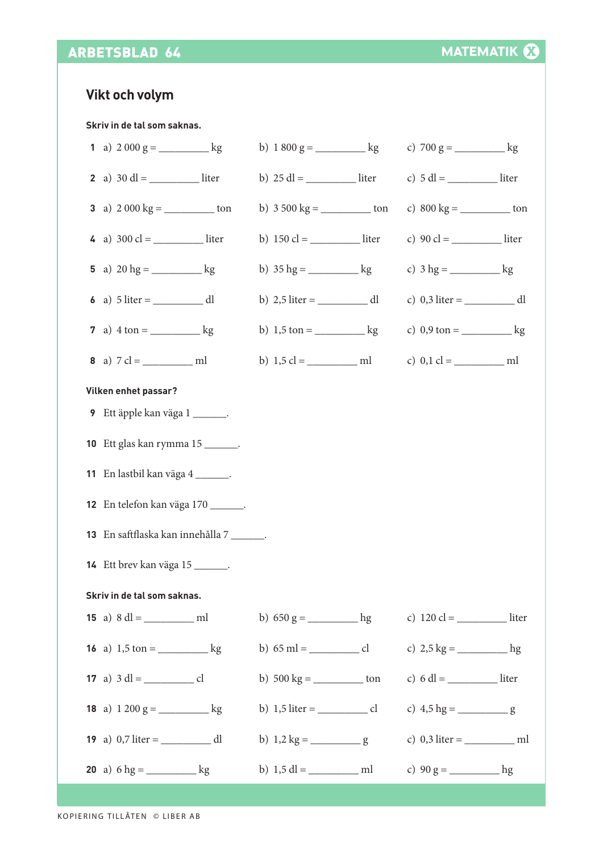## ARBETSBLAD 64

## **Vikt och volym**

**Skriv in de tal som saknas.**

| 1 a) $2000 \text{ g} =$ kg          | b) $1800 \text{ g} =$ kg                     | c) $700 \text{ g} =$ kg                     |  |
|-------------------------------------|----------------------------------------------|---------------------------------------------|--|
|                                     |                                              |                                             |  |
| 3 a) $2000 \text{ kg} =$ ton        |                                              | c) $800 \text{ kg} =$ ton                   |  |
|                                     | b) $150 \text{ cl} =$ ________________ liter |                                             |  |
| 5 a) $20 \text{ hg} =$ kg           | b) $35 \text{ hg} =$ kg                      |                                             |  |
|                                     |                                              |                                             |  |
| 7 a) $4 \tan =$ kg                  | b) $1,5 \text{ ton} =$ kg                    | c) $0.9 \text{ ton} =$ kg                   |  |
|                                     |                                              |                                             |  |
| Vilken enhet passar?                |                                              |                                             |  |
| 9 Ett äpple kan väga 1 _______.     |                                              |                                             |  |
| 10 Ett glas kan rymma 15 _______.   |                                              |                                             |  |
| 11 En lastbil kan väga 4 _______.   |                                              |                                             |  |
| 12 En telefon kan väga 170 _______. |                                              |                                             |  |
| 13 En saftflaska kan innehålla 7    |                                              |                                             |  |
| 14 Ett brev kan väga 15 _______.    |                                              |                                             |  |
| Skriv in de tal som saknas.         |                                              |                                             |  |
|                                     | b) $650 \text{ g} =$ hg                      | c) $120 \text{ cl} =$ _______________ liter |  |
|                                     |                                              | c) $2.5 \text{ kg} =$ hg                    |  |
|                                     | b) $500 \text{ kg} =$ _______________ ton    |                                             |  |
| 18 a) $1200 g =$ _______________ kg |                                              |                                             |  |
|                                     |                                              |                                             |  |
|                                     |                                              |                                             |  |